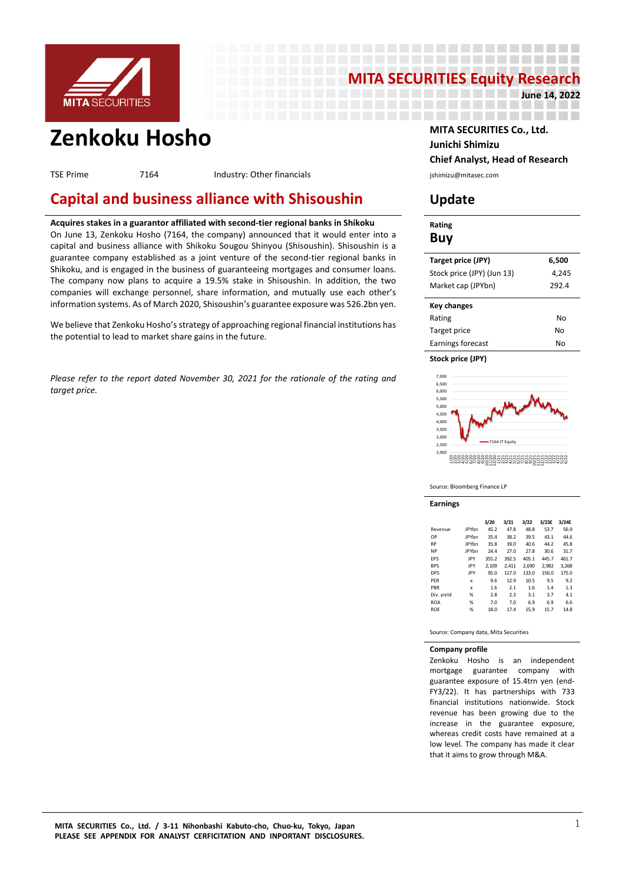

# **MITA SECURITIES Equity Research**

------

-------------------

**Zenkoku Hosho MITA SECURITIES Co., Ltd.**

TSE Prime **7164** Industry: Other financials and industry: Other financials industry: Other financials

# **Capital and business alliance with Shisoushin Update**

# **Acquires stakes in a guarantor affiliated with second-tier regional banks in Shikoku**

On June 13, Zenkoku Hosho (7164, the company) announced that it would enter into a capital and business alliance with Shikoku Sougou Shinyou (Shisoushin). Shisoushin is a guarantee company established as a joint venture of the second-tier regional banks in Shikoku, and is engaged in the business of guaranteeing mortgages and consumer loans. The company now plans to acquire a 19.5% stake in Shisoushin. In addition, the two companies will exchange personnel, share information, and mutually use each other's information systems. As of March 2020, Shisoushin's guarantee exposure was 526.2bn yen.

We believe that Zenkoku Hosho's strategy of approaching regional financial institutions has the potential to lead to market share gains in the future.

*Please refer to the report dated November 30, 2021 for the rationale of the rating and target price.*

# **Junichi Shimizu Chief Analyst, Head of Research**

**June 14, 2022**

\_\_\_\_\_\_\_\_\_\_\_\_\_\_\_\_\_\_\_\_

| Rating<br>Buy              |       |
|----------------------------|-------|
| Target price (JPY)         | 6,500 |
| Stock price (JPY) (Jun 13) | 4,245 |
| Market cap (JPYbn)         | 292.4 |
| <b>Key changes</b>         |       |
| Rating                     | No    |
| Target price               | N٥    |
| Earnings forecast          | N٥    |

**Stock price (JPY)**



Source: Bloomberg Finance LP

**Earnings**

|            |              | 3/20  | 3/21  | 3/22  | 3/23E | 3/24E |
|------------|--------------|-------|-------|-------|-------|-------|
| Revenue    | <b>IPYbn</b> | 45.2  | 47.8  | 48.8  | 53.7  | 56.9  |
| OP         | <b>IPYbn</b> | 35.4  | 38.2  | 39.5  | 43.1  | 44.6  |
| <b>RP</b>  | <b>IPYbn</b> | 35.8  | 39.0  | 40.6  | 44.2  | 45.8  |
| <b>NP</b>  | <b>IPYbn</b> | 24.4  | 27.0  | 27.8  | 30.6  | 31.7  |
| <b>FPS</b> | IPY          | 355.2 | 392.5 | 405.1 | 445.7 | 461.7 |
| <b>BPS</b> | IPY          | 2.109 | 2.411 | 2.690 | 2.982 | 3.268 |
| <b>DPS</b> | IPY          | 95.0  | 117.0 | 133.0 | 156.0 | 175.0 |
| PFR        | x            | 9.6   | 12.9  | 10.5  | 9.5   | 9.2   |
| PBR        | x            | 1.6   | 2.1   | 1.6   | 1.4   | 1.3   |
| Div. yield | %            | 2.8   | 2.3   | 3.1   | 3.7   | 4.1   |
| <b>ROA</b> | %            | 7.0   | 7.0   | 6.9   | 6.9   | 6.6   |
| <b>ROF</b> | %            | 18.0  | 17.4  | 15.9  | 15.7  | 14.8  |

Source: Company data, Mita Securities

### **Company profile**

Zenkoku Hosho is an independent mortgage guarantee company with guarantee exposure of 15.4trn yen (end-FY3/22). It has partnerships with 733 financial institutions nationwide. Stock revenue has been growing due to the increase in the guarantee exposure, whereas credit costs have remained at a low level. The company has made it clear that it aims to grow through M&A.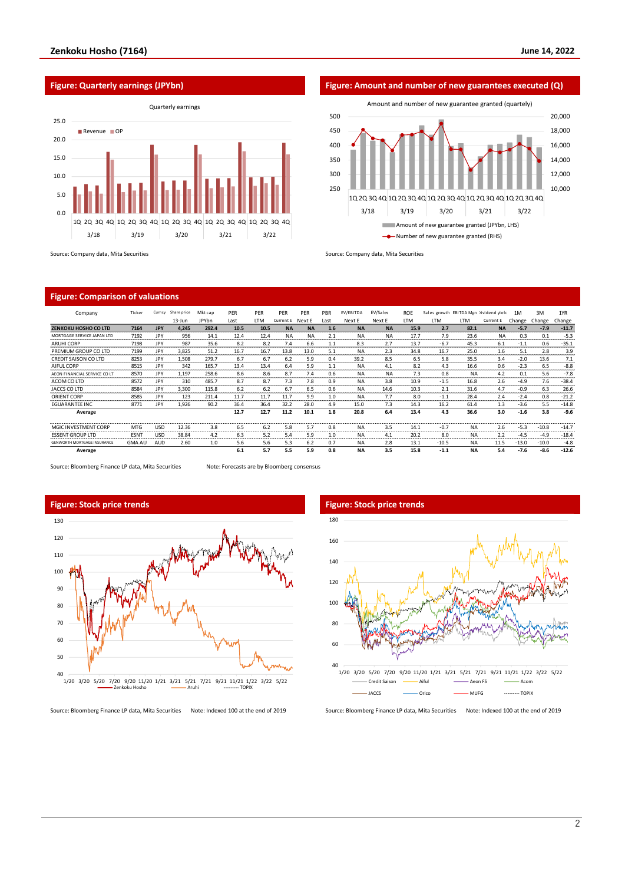



**Figure: Quarterly earnings (JPYbn) Figure: Amount and number of new guarantees executed (Q)** 10,000 12,000 14,000 16,000 18,000 20,000 250 300 350 400 450 500 1Q 2Q 3Q 4Q 1Q 2Q 3Q 4Q 1Q 2Q 3Q 4Q 1Q 2Q 3Q 4Q 1Q 2Q 3Q 4Q 3/18 3/19 3/20 3/21 3/22 Amount and number of new guarantee granted (quartely) Amount of new guarantee granted (JPYbn, LHS) **-**• Number of new guarantee granted (RHS)

# **Figure: Comparison of valuations**

| Company                            | Ticker           | Curncy     | Share price | Mkt cap                  | PER                      | PER        | <b>PER</b> | PER                      | PBR  | EV/EBITDA                      | EV/Sales                 | <b>ROF</b> |                             |                                | Sales growth EBITDA Mgn Dividend vield | 1M                          | 3M      | 1YR     |
|------------------------------------|------------------|------------|-------------|--------------------------|--------------------------|------------|------------|--------------------------|------|--------------------------------|--------------------------|------------|-----------------------------|--------------------------------|----------------------------------------|-----------------------------|---------|---------|
|                                    |                  |            | 13-Jun      | <b>JPYbn</b>             | Last                     | <b>ITM</b> | Current E  | Next E                   | Last | Next E                         | Next F                   | <b>ITM</b> | <b>ITM</b>                  | <b>ITM</b>                     | Current E                              | Change                      | Change  | Change  |
| ZENKOKU HOSHO CO LTD               | 7164             | <b>JPY</b> | 4.245       | 292.4                    | 10.5                     | 10.5       | <b>NA</b>  | <b>NA</b>                | 1.6  | <b>NA</b>                      | <b>NA</b>                | 15.9       | 2.7                         | 82.1                           | <b>NA</b>                              | $-5.7$                      | $-7.9$  | $-11.7$ |
| MORTGAGE SERVICE JAPAN LTD         | 7192             | <b>JPY</b> | 956         | 14.1                     | 12.4                     | 12.4       | <b>NA</b>  | <b>NA</b>                | 2.1  | <b>NA</b>                      | <b>NA</b><br>------      | 17.7       | 7.9                         | 23.6                           | <b>NA</b>                              | 0.3                         | 0.1     | $-5.3$  |
| <b>ARUHI CORP</b>                  | 7198             | <b>JPY</b> | 987         | 35.6                     | 8.2                      | 8.2        | 7.4        | 6.6                      | 1.1  | 8.3                            | 2.7                      | 13.7       | $-6.7$                      | 45.3                           | 6.1                                    | $-1.1$                      | 0.6     | $-35.1$ |
| PREMIUM GROUP CO LTD               | 7199             | JPY        | 3.825       | 51.2                     | 16.7                     | 16.7       | 13.8       | 13.0                     | 5.1  | <b>NA</b>                      | 2.3                      | 34.8       | 16.7                        | 25.0                           | 1.6                                    | 5.1                         | 2.8     | 3.9     |
| <b>CREDIT SAISON CO LTD</b>        | 8253             | <b>JPY</b> | 1,508       | 279.7                    | 6.7                      | 6.7        | 6.2        | 5.9                      | 0.4  | 39.2                           | 8.5                      | 6.5        | 5.8                         | 35.5                           | 3.4                                    | $-2.0$                      | 13.6    | 7.1     |
| AIFUL CORP                         | 8515             | <b>JPY</b> | 342         | 165.7                    | 13.4                     | 13.4       | 6.4        | 5.9                      | 1.1  | <b>NA</b>                      | 4.1                      | 8.2        | 4.3                         | 16.6                           | 0.6                                    | $-2.3$                      | 6.5     | $-8.8$  |
| AEON FINANCIAL SERVICE CO LT       | 8570             | <b>JPY</b> | 1,197       | 258.6                    | 8.6                      | 8.6        | 8.7        | 7.4                      | 0.6  | <b>NA</b>                      | <b>NA</b>                | 7.3        | 0.8                         | <b>NA</b>                      | 4.2                                    | 0.1                         | 5.6     | $-7.8$  |
| ACOM CO LTD                        | 8572             | <b>JPY</b> | 310         | 485.7                    | 8.7                      | 8.7        | 7.3        | 7.8                      | 0.9  | <b>NA</b>                      | 3.8                      | 10.9       | $-1.5$                      | 16.8                           | 2.6                                    | $-4.9$                      | 7.6     | $-38.4$ |
| JACCS CO LTD                       | 8584             | <b>JPY</b> | 3,300       | 115.8                    | 6.2                      | 6.2        | 6.7        | 6.5                      | 0.6  | <b>NA</b>                      | 14.6                     | 10.3       | 2.1                         | 31.6                           | 4.7                                    | $-0.9$                      | 6.3     | 26.6    |
| <b>ORIENT CORP</b>                 | 8585             | <b>JPY</b> | 123         | 211.4                    | 11.7                     | 11.7       | 11.7       | 9.9                      | 1.0  | <b>NA</b>                      | 7.7                      | 8.0        | $-1.1$                      | 28.4                           | 2.4                                    | $-2.4$                      | 0.8     | $-21.2$ |
| <b>EGUARANTEE INC</b>              | 8771             | <b>IPY</b> | 1.926       | 90.2                     | 36.4                     | 36.4       | 32.2       | 28.0                     | 4.9  | 15.0                           | 7.3                      | 14.3       | 16.2                        | 61.4                           | 1.3                                    | $-3.6$                      | 5.5     | $-14.8$ |
| Average                            |                  |            |             |                          | 12.7                     | 12.7       | 11.2       | 10.1                     | 1.8  | 20.8                           | 6.4                      | 13.4       | 4.3                         | 36.6                           | 3.0                                    | $-1.6$                      | 3.8     | $-9.6$  |
| MGIC INVESTMENT CORP               | <b>MTG</b>       | <b>USD</b> | 12.36       | 3.8<br><b>CONTRACTOR</b> | 6.5<br><b>CONTRACTOR</b> | 6.2        | 5.8        | 5.7<br><b>NO SERVICE</b> | 0.8  | <b>NA</b><br><b>CONTRACTOR</b> | 3.5<br><b>CONTRACTOR</b> | 14.1       | $-0.7$<br><b>CONTRACTOR</b> | <b>NA</b><br><b>STATISTICS</b> | 2.6<br><b>CONTRACT</b>                 | $-5.3$<br><b>CONTRACTOR</b> | $-10.8$ | $-14.7$ |
| <b>ESSENT GROUP LTD</b>            | ESN <sub>1</sub> | USD        | 38.84       | 4.2                      | 6.3                      | 5.2        | 5.4        | 5.9                      | 1.0  | <b>NA</b>                      | 4.1                      | 20.2       | 8.0                         | <b>NA</b>                      | 2.2                                    | $-4.5$                      | $-4.9$  | $-18.4$ |
| <b>GENWORTH MORTGAGE INSURANCE</b> | <b>GMA AU</b>    | AUD        | 2.60        | 1.0                      | 5.6                      | 5.6        | 5.3        | 6.2                      | 0.7  | <b>NA</b>                      | 2.8                      | 13.1       | $-10.5$                     | <b>NA</b>                      | 11.5                                   | $-13.0$                     | $-10.0$ | $-4.8$  |
| Average                            |                  |            |             |                          | 6.1                      | 5.7        | 5.5        | 5.9                      | 0.8  | <b>NA</b>                      | 3.5                      | 15.8       | $-1.1$                      | <b>NA</b>                      | 5.4                                    | $-7.6$                      | $-8.6$  | $-12.6$ |

Source: Bloomberg Finance LP data, Mita Securities Note: Forecasts are by Bloomberg consensus





Source: Bloomberg Finance LP data, Mita Securities Note: Indexed 100 at the end of 2019 Source: Bloomberg Finance LP data, Mita Securities Note: Indexed 100 at the end of 2019

# **Figure: Stock price trends Figure: Stock price trends** 160 180

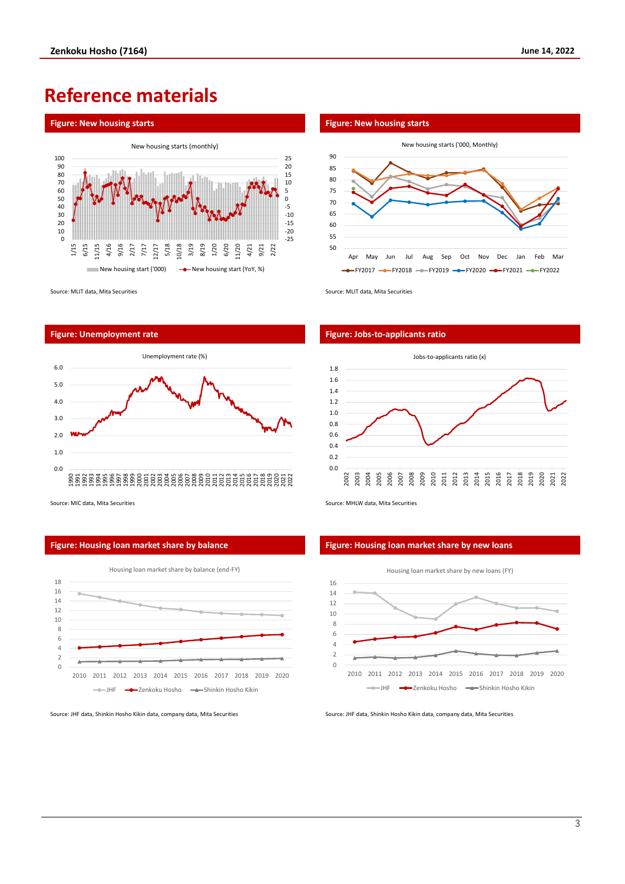# **Reference materials**



Source: MLIT data, Mita Securities Source: MLIT data, Mita Securities





Source: MIC data, Mita Securities Source: MHLW data, Mita Securities Source: MHLW data, Mita Securities

# **Figure: Housing loan market share by balance Figure: Housing loan market share by new loans**









Source: JHF data, Shinkin Hosho Kikin data, company data, Mita Securities Source: JHF data, Shinkin Hosho Kikin data, company data, Mita Securities